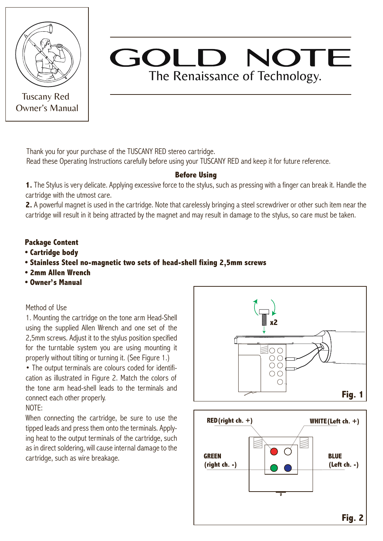

Tuscany Red Owner's Manual

# GOLD NOTE The Renaissance of Technology.

Thank you for your purchase of the TUSCANY RED stereo cartridge.

Read these Operating Instructions carefully before using your TUSCANY RED and keep it for future reference.

## **Before Using**

**1.** The Stylus is very delicate. Applying excessive force to the stylus, such as pressing with a finger can break it. Handle the cartridge with the utmost care.

**2.** A powerful magnet is used in the cartridge. Note that carelessly bringing a steel screwdriver or other such item near the cartridge will result in it being attracted by the magnet and may result in damage to the stylus, so care must be taken.

### **Package Content**

- **Cartridge body**
- **Stainless Steel no-magnetic two sets of head-shell fixing 2,5mm screws**
- **2mm Allen Wrench**
- **Owner's Manual**

#### Method of Use

1. Mounting the cartridge on the tone arm Head-Shell using the supplied Allen Wrench and one set of the 2,5mm screws. Adjust it to the stylus position specified for the turntable system you are using mounting it properly without tilting or turning it. (See Figure 1.)

• The output terminals are colours coded for identification as illustrated in Figure 2. Match the colors of the tone arm head-shell leads to the terminals and connect each other properly.

#### NOTE:

When connecting the cartridge, be sure to use the tipped leads and press them onto the terminals. Applying heat to the output terminals of the cartridge, such as in direct soldering, will cause internal damage to the cartridge, such as wire breakage.